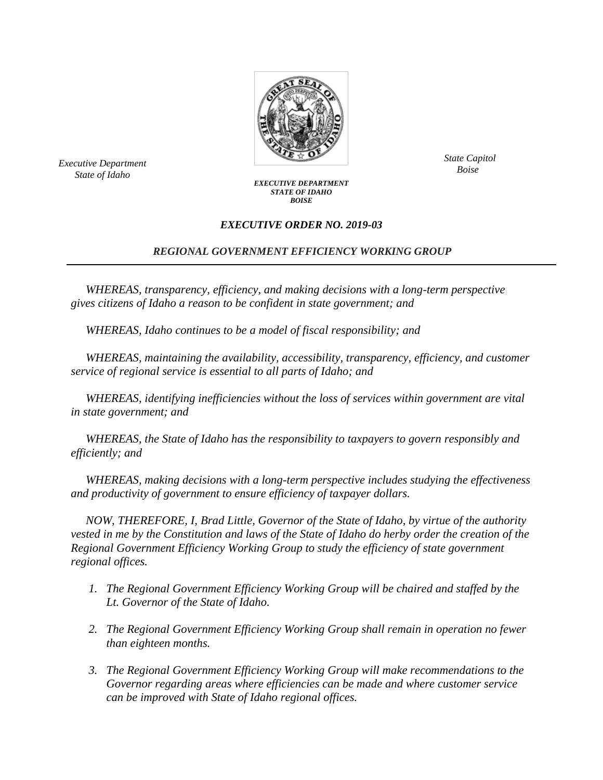

*Bxecutive Department*<br>*Boise State of Idaho*

*State Capitol*

## *EXECUTIVE DEPARTMENT STATE OF IDAHO BOISE*

## *EXECUTIVE ORDER NO. 2019-03*

## *REGIONAL GOVERNMENT EFFICIENCY WORKING GROUP*

*WHEREAS, transparency, efficiency, and making decisions with a long-term perspective gives citizens of Idaho a reason to be confident in state government; and*

*WHEREAS, Idaho continues to be a model of fiscal responsibility; and* 

*WHEREAS, maintaining the availability, accessibility, transparency, efficiency, and customer service of regional service is essential to all parts of Idaho; and*

*WHEREAS, identifying inefficiencies without the loss of services within government are vital in state government; and*

*WHEREAS, the State of Idaho has the responsibility to taxpayers to govern responsibly and efficiently; and*

*WHEREAS, making decisions with a long-term perspective includes studying the effectiveness and productivity of government to ensure efficiency of taxpayer dollars.*

*NOW, THEREFORE, I, Brad Little, Governor of the State of Idaho, by virtue of the authority vested in me by the Constitution and laws of the State of Idaho do herby order the creation of the Regional Government Efficiency Working Group to study the efficiency of state government regional offices.*

- *1. The Regional Government Efficiency Working Group will be chaired and staffed by the Lt. Governor of the State of Idaho.*
- *2. The Regional Government Efficiency Working Group shall remain in operation no fewer than eighteen months.*
- *3. The Regional Government Efficiency Working Group will make recommendations to the Governor regarding areas where efficiencies can be made and where customer service can be improved with State of Idaho regional offices.*